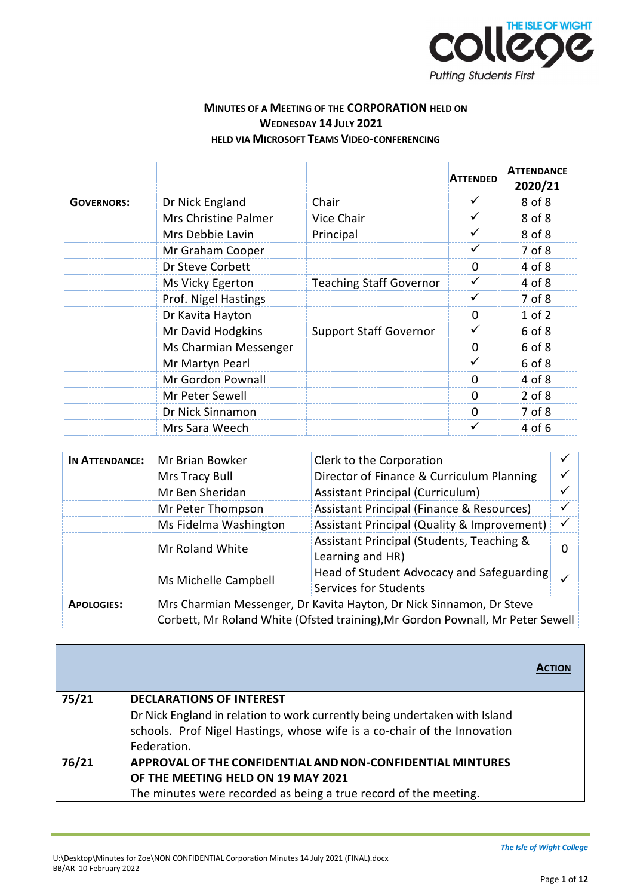

## **MINUTES OF A MEETING OF THE CORPORATION HELD ON WEDNESDAY 14 JULY 2021 HELD VIA MICROSOFT TEAMS VIDEO-CONFERENCING**

|                   |                       |                                | <b>ATTENDED</b> | <b>ATTENDANCE</b><br>2020/21 |
|-------------------|-----------------------|--------------------------------|-----------------|------------------------------|
| <b>GOVERNORS:</b> | Dr Nick England       | Chair                          | ✓               | 8 of 8                       |
|                   | Mrs Christine Palmer  | Vice Chair                     | ✓               | 8 of 8                       |
|                   | Mrs Debbie Lavin      | Principal                      | ✓               | 8 of 8                       |
|                   | Mr Graham Cooper      |                                | ✓               | 7 of 8                       |
|                   | Dr Steve Corbett      |                                | $\Omega$        | 4 of 8                       |
|                   | Ms Vicky Egerton      | <b>Teaching Staff Governor</b> | $\checkmark$    | 4 of 8                       |
|                   | Prof. Nigel Hastings  |                                | ✓               | 7 of 8                       |
|                   | Dr Kavita Hayton      |                                | $\Omega$        | $1$ of $2$                   |
|                   | Mr David Hodgkins     | <b>Support Staff Governor</b>  | ✓               | 6 of 8                       |
|                   | Ms Charmian Messenger |                                | $\Omega$        | 6 of 8                       |
|                   | Mr Martyn Pearl       |                                | ✓               | 6 of 8                       |
|                   | Mr Gordon Pownall     |                                | $\Omega$        | 4 of 8                       |
|                   | Mr Peter Sewell       |                                | 0               | $2$ of $8$                   |
|                   | Dr Nick Sinnamon      |                                | $\Omega$        | 7 of 8                       |
|                   | Mrs Sara Weech        |                                | ✓               | 4 of 6                       |

| IN ATTENDANCE:    | Mr Brian Bowker                                                                                                                                        | Clerk to the Corporation                                           |          |
|-------------------|--------------------------------------------------------------------------------------------------------------------------------------------------------|--------------------------------------------------------------------|----------|
|                   | Mrs Tracy Bull                                                                                                                                         | Director of Finance & Curriculum Planning                          |          |
|                   | Mr Ben Sheridan                                                                                                                                        | <b>Assistant Principal (Curriculum)</b>                            | ✓        |
|                   | Mr Peter Thompson                                                                                                                                      | Assistant Principal (Finance & Resources)                          | ✓        |
|                   | Ms Fidelma Washington                                                                                                                                  | Assistant Principal (Quality & Improvement)                        |          |
|                   | Mr Roland White                                                                                                                                        | Assistant Principal (Students, Teaching &<br>Learning and HR)      | $\Omega$ |
|                   | Ms Michelle Campbell                                                                                                                                   | Head of Student Advocacy and Safeguarding<br>Services for Students |          |
| <b>APOLOGIES:</b> | Mrs Charmian Messenger, Dr Kavita Hayton, Dr Nick Sinnamon, Dr Steve<br>Corbett, Mr Roland White (Ofsted training), Mr Gordon Pownall, Mr Peter Sewell |                                                                    |          |

| 75/21 | <b>DECLARATIONS OF INTEREST</b>                                            |  |
|-------|----------------------------------------------------------------------------|--|
|       | Dr Nick England in relation to work currently being undertaken with Island |  |
|       | schools. Prof Nigel Hastings, whose wife is a co-chair of the Innovation   |  |
|       | Federation.                                                                |  |
| 76/21 | APPROVAL OF THE CONFIDENTIAL AND NON-CONFIDENTIAL MINTURES                 |  |
|       | OF THE MEETING HELD ON 19 MAY 2021                                         |  |
|       | The minutes were recorded as being a true record of the meeting.           |  |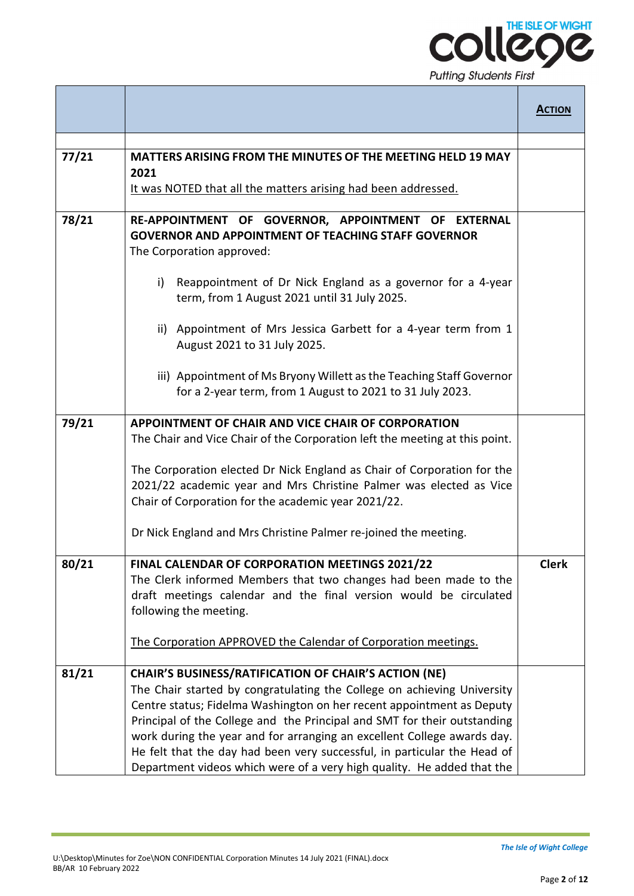

|       |                                                                                                                                                                                                                                                                                                                                                                                                                                                                                                                              | <b>ACTION</b> |
|-------|------------------------------------------------------------------------------------------------------------------------------------------------------------------------------------------------------------------------------------------------------------------------------------------------------------------------------------------------------------------------------------------------------------------------------------------------------------------------------------------------------------------------------|---------------|
|       |                                                                                                                                                                                                                                                                                                                                                                                                                                                                                                                              |               |
| 77/21 | <b>MATTERS ARISING FROM THE MINUTES OF THE MEETING HELD 19 MAY</b><br>2021<br>It was NOTED that all the matters arising had been addressed.                                                                                                                                                                                                                                                                                                                                                                                  |               |
|       |                                                                                                                                                                                                                                                                                                                                                                                                                                                                                                                              |               |
| 78/21 | RE-APPOINTMENT OF GOVERNOR, APPOINTMENT OF EXTERNAL<br><b>GOVERNOR AND APPOINTMENT OF TEACHING STAFF GOVERNOR</b><br>The Corporation approved:                                                                                                                                                                                                                                                                                                                                                                               |               |
|       | Reappointment of Dr Nick England as a governor for a 4-year<br>i)<br>term, from 1 August 2021 until 31 July 2025.                                                                                                                                                                                                                                                                                                                                                                                                            |               |
|       | ii) Appointment of Mrs Jessica Garbett for a 4-year term from 1<br>August 2021 to 31 July 2025.                                                                                                                                                                                                                                                                                                                                                                                                                              |               |
|       | iii) Appointment of Ms Bryony Willett as the Teaching Staff Governor<br>for a 2-year term, from 1 August to 2021 to 31 July 2023.                                                                                                                                                                                                                                                                                                                                                                                            |               |
| 79/21 | APPOINTMENT OF CHAIR AND VICE CHAIR OF CORPORATION                                                                                                                                                                                                                                                                                                                                                                                                                                                                           |               |
|       | The Chair and Vice Chair of the Corporation left the meeting at this point.                                                                                                                                                                                                                                                                                                                                                                                                                                                  |               |
|       | The Corporation elected Dr Nick England as Chair of Corporation for the<br>2021/22 academic year and Mrs Christine Palmer was elected as Vice<br>Chair of Corporation for the academic year 2021/22.                                                                                                                                                                                                                                                                                                                         |               |
|       | Dr Nick England and Mrs Christine Palmer re-joined the meeting.                                                                                                                                                                                                                                                                                                                                                                                                                                                              |               |
| 80/21 | FINAL CALENDAR OF CORPORATION MEETINGS 2021/22<br>The Clerk informed Members that two changes had been made to the<br>draft meetings calendar and the final version would be circulated<br>following the meeting.                                                                                                                                                                                                                                                                                                            | <b>Clerk</b>  |
|       | The Corporation APPROVED the Calendar of Corporation meetings.                                                                                                                                                                                                                                                                                                                                                                                                                                                               |               |
| 81/21 | <b>CHAIR'S BUSINESS/RATIFICATION OF CHAIR'S ACTION (NE)</b><br>The Chair started by congratulating the College on achieving University<br>Centre status; Fidelma Washington on her recent appointment as Deputy<br>Principal of the College and the Principal and SMT for their outstanding<br>work during the year and for arranging an excellent College awards day.<br>He felt that the day had been very successful, in particular the Head of<br>Department videos which were of a very high quality. He added that the |               |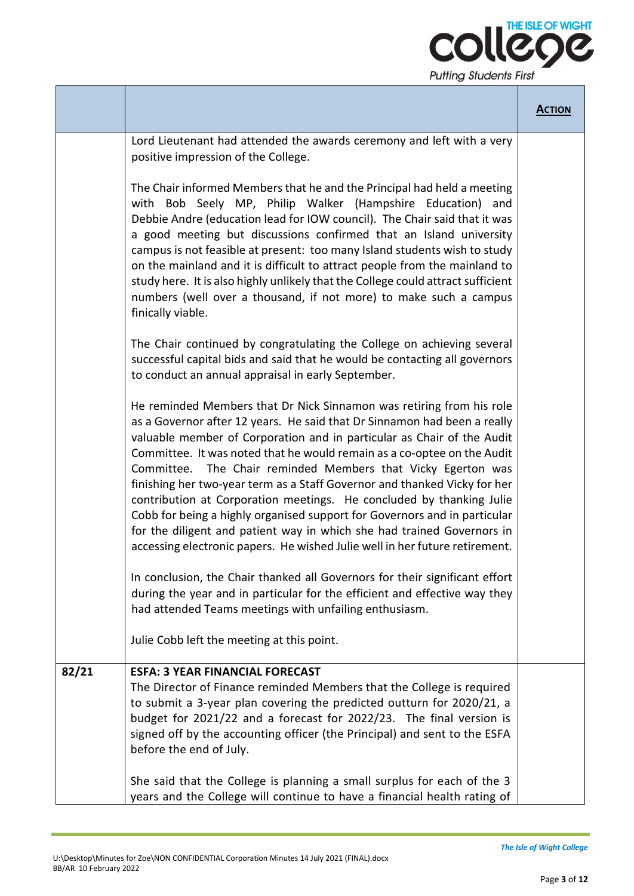

|       |                                                                                                                                                                                                                                                                                                                                                                                                                                                                                                                                                                                                                                                                                                                                                                  | <b>ACTION</b> |
|-------|------------------------------------------------------------------------------------------------------------------------------------------------------------------------------------------------------------------------------------------------------------------------------------------------------------------------------------------------------------------------------------------------------------------------------------------------------------------------------------------------------------------------------------------------------------------------------------------------------------------------------------------------------------------------------------------------------------------------------------------------------------------|---------------|
|       | Lord Lieutenant had attended the awards ceremony and left with a very<br>positive impression of the College.                                                                                                                                                                                                                                                                                                                                                                                                                                                                                                                                                                                                                                                     |               |
|       | The Chair informed Members that he and the Principal had held a meeting<br>with Bob Seely MP, Philip Walker (Hampshire Education) and<br>Debbie Andre (education lead for IOW council). The Chair said that it was<br>a good meeting but discussions confirmed that an Island university<br>campus is not feasible at present: too many Island students wish to study<br>on the mainland and it is difficult to attract people from the mainland to<br>study here. It is also highly unlikely that the College could attract sufficient<br>numbers (well over a thousand, if not more) to make such a campus<br>finically viable.                                                                                                                                |               |
|       | The Chair continued by congratulating the College on achieving several<br>successful capital bids and said that he would be contacting all governors<br>to conduct an annual appraisal in early September.                                                                                                                                                                                                                                                                                                                                                                                                                                                                                                                                                       |               |
|       | He reminded Members that Dr Nick Sinnamon was retiring from his role<br>as a Governor after 12 years. He said that Dr Sinnamon had been a really<br>valuable member of Corporation and in particular as Chair of the Audit<br>Committee. It was noted that he would remain as a co-optee on the Audit<br>Committee. The Chair reminded Members that Vicky Egerton was<br>finishing her two-year term as a Staff Governor and thanked Vicky for her<br>contribution at Corporation meetings. He concluded by thanking Julie<br>Cobb for being a highly organised support for Governors and in particular<br>for the diligent and patient way in which she had trained Governors in<br>accessing electronic papers. He wished Julie well in her future retirement. |               |
|       | In conclusion, the Chair thanked all Governors for their significant effort<br>during the year and in particular for the efficient and effective way they<br>had attended Teams meetings with unfailing enthusiasm.                                                                                                                                                                                                                                                                                                                                                                                                                                                                                                                                              |               |
|       | Julie Cobb left the meeting at this point.                                                                                                                                                                                                                                                                                                                                                                                                                                                                                                                                                                                                                                                                                                                       |               |
| 82/21 | <b>ESFA: 3 YEAR FINANCIAL FORECAST</b><br>The Director of Finance reminded Members that the College is required<br>to submit a 3-year plan covering the predicted outturn for 2020/21, a<br>budget for 2021/22 and a forecast for 2022/23. The final version is<br>signed off by the accounting officer (the Principal) and sent to the ESFA<br>before the end of July.                                                                                                                                                                                                                                                                                                                                                                                          |               |
|       | She said that the College is planning a small surplus for each of the 3<br>years and the College will continue to have a financial health rating of                                                                                                                                                                                                                                                                                                                                                                                                                                                                                                                                                                                                              |               |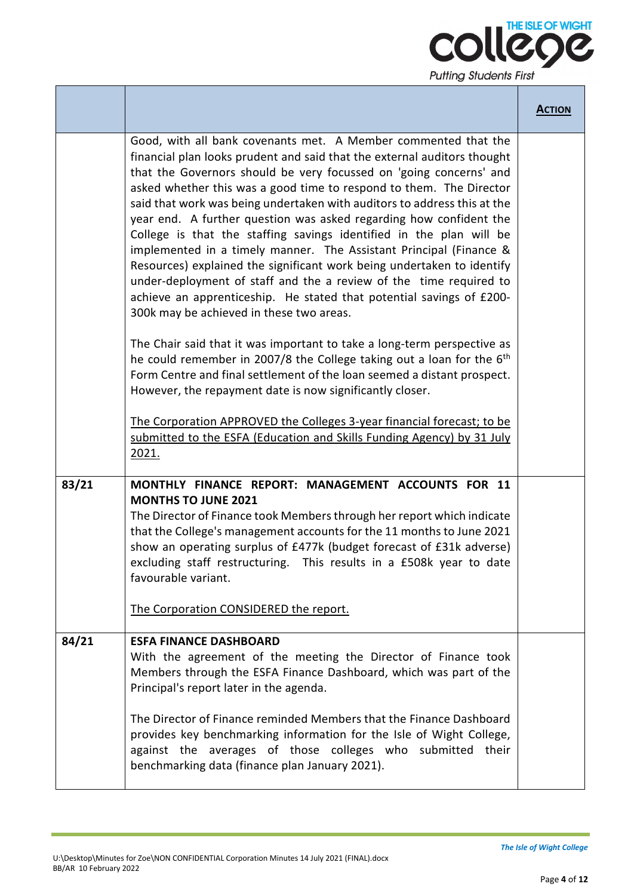

|       |                                                                                                                                                                                                                                                                                                                                                                                                                                                                                                                                                                                                                                                                                                                                                                                                                                                                                                                                                                                                                                                                                                                                                                                                                                                                                                                      | <b>ACTION</b> |
|-------|----------------------------------------------------------------------------------------------------------------------------------------------------------------------------------------------------------------------------------------------------------------------------------------------------------------------------------------------------------------------------------------------------------------------------------------------------------------------------------------------------------------------------------------------------------------------------------------------------------------------------------------------------------------------------------------------------------------------------------------------------------------------------------------------------------------------------------------------------------------------------------------------------------------------------------------------------------------------------------------------------------------------------------------------------------------------------------------------------------------------------------------------------------------------------------------------------------------------------------------------------------------------------------------------------------------------|---------------|
|       | Good, with all bank covenants met. A Member commented that the<br>financial plan looks prudent and said that the external auditors thought<br>that the Governors should be very focussed on 'going concerns' and<br>asked whether this was a good time to respond to them. The Director<br>said that work was being undertaken with auditors to address this at the<br>year end. A further question was asked regarding how confident the<br>College is that the staffing savings identified in the plan will be<br>implemented in a timely manner. The Assistant Principal (Finance &<br>Resources) explained the significant work being undertaken to identify<br>under-deployment of staff and the a review of the time required to<br>achieve an apprenticeship. He stated that potential savings of £200-<br>300k may be achieved in these two areas.<br>The Chair said that it was important to take a long-term perspective as<br>he could remember in 2007/8 the College taking out a loan for the $6th$<br>Form Centre and final settlement of the loan seemed a distant prospect.<br>However, the repayment date is now significantly closer.<br>The Corporation APPROVED the Colleges 3-year financial forecast; to be<br>submitted to the ESFA (Education and Skills Funding Agency) by 31 July<br>2021. |               |
| 83/21 | MONTHLY FINANCE REPORT: MANAGEMENT ACCOUNTS FOR 11<br><b>MONTHS TO JUNE 2021</b><br>The Director of Finance took Members through her report which indicate<br>that the College's management accounts for the 11 months to June 2021<br>show an operating surplus of £477k (budget forecast of £31k adverse)<br>excluding staff restructuring. This results in a £508k year to date<br>favourable variant.<br>The Corporation CONSIDERED the report.                                                                                                                                                                                                                                                                                                                                                                                                                                                                                                                                                                                                                                                                                                                                                                                                                                                                  |               |
| 84/21 | <b>ESFA FINANCE DASHBOARD</b><br>With the agreement of the meeting the Director of Finance took<br>Members through the ESFA Finance Dashboard, which was part of the<br>Principal's report later in the agenda.<br>The Director of Finance reminded Members that the Finance Dashboard<br>provides key benchmarking information for the Isle of Wight College,<br>against the averages of those colleges who submitted their<br>benchmarking data (finance plan January 2021).                                                                                                                                                                                                                                                                                                                                                                                                                                                                                                                                                                                                                                                                                                                                                                                                                                       |               |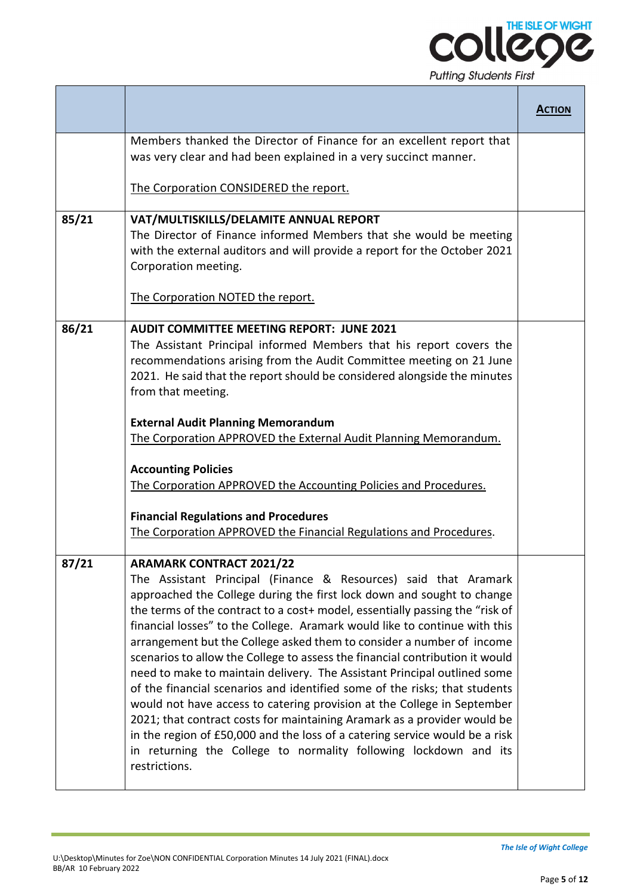

|       |                                                                                                                                                                                                                                                                                                                                                                                                                                                                                                                                                                                                                                                                                                                                                                                                                                                                                                                                                                                          | <b>ACTION</b> |
|-------|------------------------------------------------------------------------------------------------------------------------------------------------------------------------------------------------------------------------------------------------------------------------------------------------------------------------------------------------------------------------------------------------------------------------------------------------------------------------------------------------------------------------------------------------------------------------------------------------------------------------------------------------------------------------------------------------------------------------------------------------------------------------------------------------------------------------------------------------------------------------------------------------------------------------------------------------------------------------------------------|---------------|
|       | Members thanked the Director of Finance for an excellent report that<br>was very clear and had been explained in a very succinct manner.                                                                                                                                                                                                                                                                                                                                                                                                                                                                                                                                                                                                                                                                                                                                                                                                                                                 |               |
|       | The Corporation CONSIDERED the report.                                                                                                                                                                                                                                                                                                                                                                                                                                                                                                                                                                                                                                                                                                                                                                                                                                                                                                                                                   |               |
| 85/21 | VAT/MULTISKILLS/DELAMITE ANNUAL REPORT<br>The Director of Finance informed Members that she would be meeting<br>with the external auditors and will provide a report for the October 2021<br>Corporation meeting.<br>The Corporation NOTED the report.                                                                                                                                                                                                                                                                                                                                                                                                                                                                                                                                                                                                                                                                                                                                   |               |
| 86/21 | <b>AUDIT COMMITTEE MEETING REPORT: JUNE 2021</b><br>The Assistant Principal informed Members that his report covers the<br>recommendations arising from the Audit Committee meeting on 21 June<br>2021. He said that the report should be considered alongside the minutes<br>from that meeting.<br><b>External Audit Planning Memorandum</b><br>The Corporation APPROVED the External Audit Planning Memorandum.<br><b>Accounting Policies</b><br>The Corporation APPROVED the Accounting Policies and Procedures.<br><b>Financial Regulations and Procedures</b><br>The Corporation APPROVED the Financial Regulations and Procedures.                                                                                                                                                                                                                                                                                                                                                 |               |
| 87/21 | <b>ARAMARK CONTRACT 2021/22</b><br>The Assistant Principal (Finance & Resources) said that Aramark<br>approached the College during the first lock down and sought to change<br>the terms of the contract to a cost+ model, essentially passing the "risk of<br>financial losses" to the College. Aramark would like to continue with this<br>arrangement but the College asked them to consider a number of income<br>scenarios to allow the College to assess the financial contribution it would<br>need to make to maintain delivery. The Assistant Principal outlined some<br>of the financial scenarios and identified some of the risks; that students<br>would not have access to catering provision at the College in September<br>2021; that contract costs for maintaining Aramark as a provider would be<br>in the region of £50,000 and the loss of a catering service would be a risk<br>in returning the College to normality following lockdown and its<br>restrictions. |               |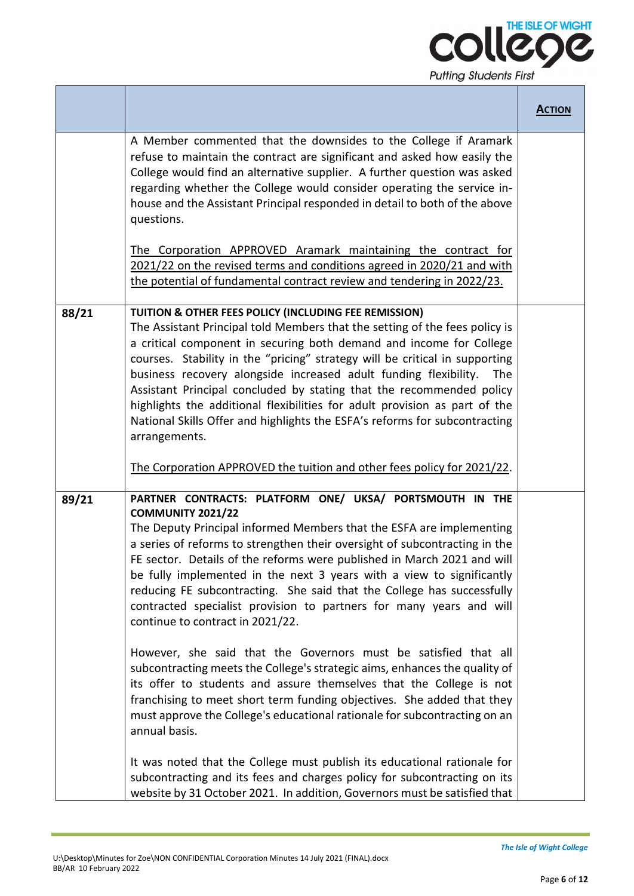

|       |                                                                                                                                                                                                                                                                                                                                                                                                                                                                                                                                                                                                                                                                                                                                                                                                                                                                                                                                                                                                                                                                 | <b>ACTION</b> |
|-------|-----------------------------------------------------------------------------------------------------------------------------------------------------------------------------------------------------------------------------------------------------------------------------------------------------------------------------------------------------------------------------------------------------------------------------------------------------------------------------------------------------------------------------------------------------------------------------------------------------------------------------------------------------------------------------------------------------------------------------------------------------------------------------------------------------------------------------------------------------------------------------------------------------------------------------------------------------------------------------------------------------------------------------------------------------------------|---------------|
|       | A Member commented that the downsides to the College if Aramark<br>refuse to maintain the contract are significant and asked how easily the<br>College would find an alternative supplier. A further question was asked<br>regarding whether the College would consider operating the service in-<br>house and the Assistant Principal responded in detail to both of the above<br>questions.                                                                                                                                                                                                                                                                                                                                                                                                                                                                                                                                                                                                                                                                   |               |
|       | The Corporation APPROVED Aramark maintaining the contract for<br>2021/22 on the revised terms and conditions agreed in 2020/21 and with<br>the potential of fundamental contract review and tendering in 2022/23.                                                                                                                                                                                                                                                                                                                                                                                                                                                                                                                                                                                                                                                                                                                                                                                                                                               |               |
| 88/21 | TUITION & OTHER FEES POLICY (INCLUDING FEE REMISSION)<br>The Assistant Principal told Members that the setting of the fees policy is<br>a critical component in securing both demand and income for College<br>courses. Stability in the "pricing" strategy will be critical in supporting<br>business recovery alongside increased adult funding flexibility.<br>The<br>Assistant Principal concluded by stating that the recommended policy<br>highlights the additional flexibilities for adult provision as part of the<br>National Skills Offer and highlights the ESFA's reforms for subcontracting<br>arrangements.<br>The Corporation APPROVED the tuition and other fees policy for 2021/22.                                                                                                                                                                                                                                                                                                                                                           |               |
| 89/21 | PARTNER CONTRACTS: PLATFORM ONE/ UKSA/ PORTSMOUTH IN THE<br><b>COMMUNITY 2021/22</b><br>The Deputy Principal informed Members that the ESFA are implementing<br>a series of reforms to strengthen their oversight of subcontracting in the<br>FE sector. Details of the reforms were published in March 2021 and will<br>be fully implemented in the next 3 years with a view to significantly<br>reducing FE subcontracting. She said that the College has successfully<br>contracted specialist provision to partners for many years and will<br>continue to contract in 2021/22.<br>However, she said that the Governors must be satisfied that all<br>subcontracting meets the College's strategic aims, enhances the quality of<br>its offer to students and assure themselves that the College is not<br>franchising to meet short term funding objectives. She added that they<br>must approve the College's educational rationale for subcontracting on an<br>annual basis.<br>It was noted that the College must publish its educational rationale for |               |
|       | subcontracting and its fees and charges policy for subcontracting on its<br>website by 31 October 2021. In addition, Governors must be satisfied that                                                                                                                                                                                                                                                                                                                                                                                                                                                                                                                                                                                                                                                                                                                                                                                                                                                                                                           |               |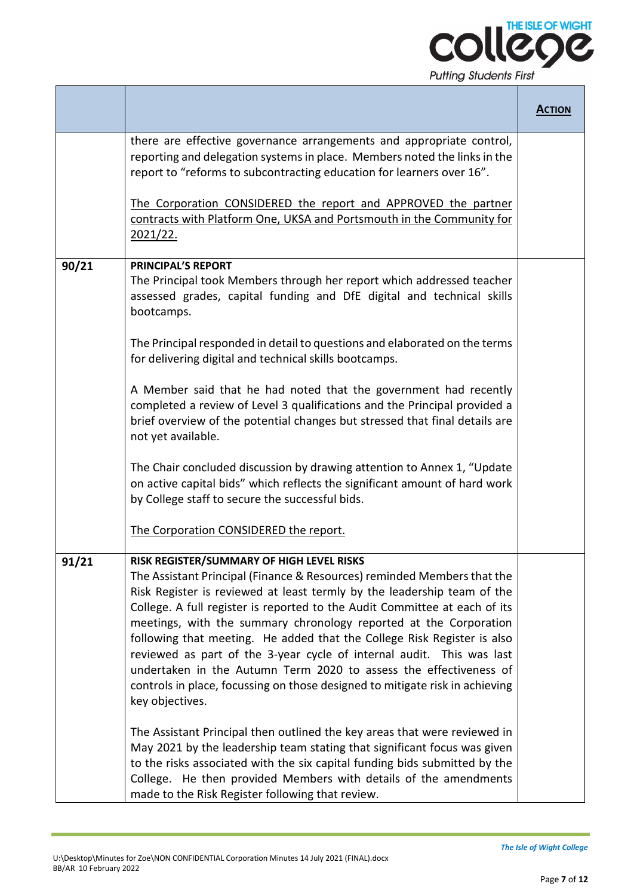

|       |                                                                                                                                                                                                                                                                                                                                                                                                                                                                                                                                                                                                                                                                                                                                                                                                                                                                                                                                                                                                                                               | <b>ACTION</b> |
|-------|-----------------------------------------------------------------------------------------------------------------------------------------------------------------------------------------------------------------------------------------------------------------------------------------------------------------------------------------------------------------------------------------------------------------------------------------------------------------------------------------------------------------------------------------------------------------------------------------------------------------------------------------------------------------------------------------------------------------------------------------------------------------------------------------------------------------------------------------------------------------------------------------------------------------------------------------------------------------------------------------------------------------------------------------------|---------------|
|       | there are effective governance arrangements and appropriate control,<br>reporting and delegation systems in place. Members noted the links in the<br>report to "reforms to subcontracting education for learners over 16".<br>The Corporation CONSIDERED the report and APPROVED the partner<br>contracts with Platform One, UKSA and Portsmouth in the Community for<br>2021/22.                                                                                                                                                                                                                                                                                                                                                                                                                                                                                                                                                                                                                                                             |               |
| 90/21 | <b>PRINCIPAL'S REPORT</b><br>The Principal took Members through her report which addressed teacher<br>assessed grades, capital funding and DfE digital and technical skills<br>bootcamps.<br>The Principal responded in detail to questions and elaborated on the terms<br>for delivering digital and technical skills bootcamps.<br>A Member said that he had noted that the government had recently<br>completed a review of Level 3 qualifications and the Principal provided a<br>brief overview of the potential changes but stressed that final details are<br>not yet available.<br>The Chair concluded discussion by drawing attention to Annex 1, "Update<br>on active capital bids" which reflects the significant amount of hard work<br>by College staff to secure the successful bids.<br>The Corporation CONSIDERED the report.                                                                                                                                                                                                 |               |
| 91/21 | RISK REGISTER/SUMMARY OF HIGH LEVEL RISKS<br>The Assistant Principal (Finance & Resources) reminded Members that the<br>Risk Register is reviewed at least termly by the leadership team of the<br>College. A full register is reported to the Audit Committee at each of its<br>meetings, with the summary chronology reported at the Corporation<br>following that meeting. He added that the College Risk Register is also<br>reviewed as part of the 3-year cycle of internal audit. This was last<br>undertaken in the Autumn Term 2020 to assess the effectiveness of<br>controls in place, focussing on those designed to mitigate risk in achieving<br>key objectives.<br>The Assistant Principal then outlined the key areas that were reviewed in<br>May 2021 by the leadership team stating that significant focus was given<br>to the risks associated with the six capital funding bids submitted by the<br>College. He then provided Members with details of the amendments<br>made to the Risk Register following that review. |               |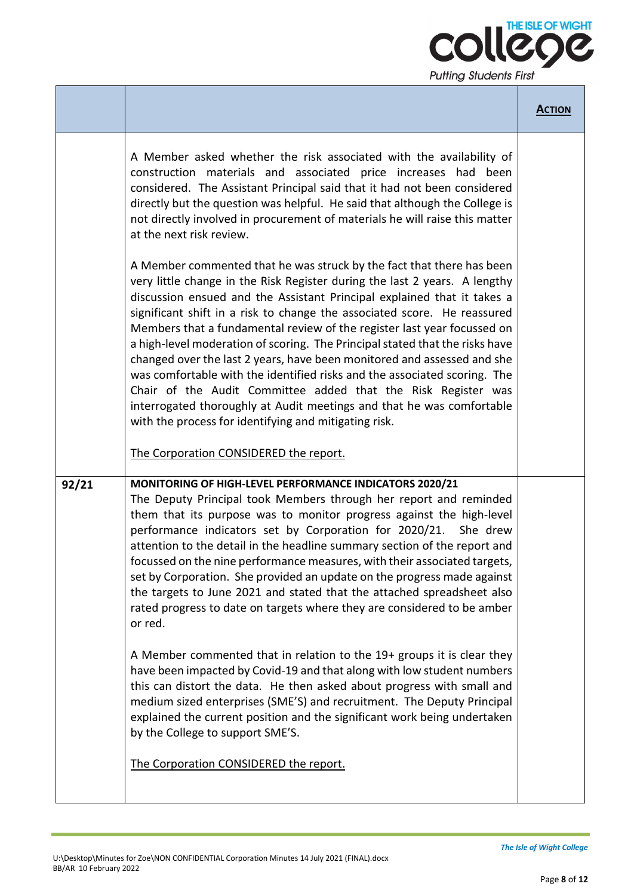

|       |                                                                                                                                                                                                                                                                                                                                                                                                                                                                                                                                                                                                                                                                                                                                                                                                                                                                                                                                                                                                                                                                                                                                                   | <b>ACTION</b> |
|-------|---------------------------------------------------------------------------------------------------------------------------------------------------------------------------------------------------------------------------------------------------------------------------------------------------------------------------------------------------------------------------------------------------------------------------------------------------------------------------------------------------------------------------------------------------------------------------------------------------------------------------------------------------------------------------------------------------------------------------------------------------------------------------------------------------------------------------------------------------------------------------------------------------------------------------------------------------------------------------------------------------------------------------------------------------------------------------------------------------------------------------------------------------|---------------|
|       | A Member asked whether the risk associated with the availability of<br>construction materials and associated price increases had been<br>considered. The Assistant Principal said that it had not been considered<br>directly but the question was helpful. He said that although the College is<br>not directly involved in procurement of materials he will raise this matter<br>at the next risk review.                                                                                                                                                                                                                                                                                                                                                                                                                                                                                                                                                                                                                                                                                                                                       |               |
|       | A Member commented that he was struck by the fact that there has been<br>very little change in the Risk Register during the last 2 years. A lengthy<br>discussion ensued and the Assistant Principal explained that it takes a<br>significant shift in a risk to change the associated score. He reassured<br>Members that a fundamental review of the register last year focussed on<br>a high-level moderation of scoring. The Principal stated that the risks have<br>changed over the last 2 years, have been monitored and assessed and she<br>was comfortable with the identified risks and the associated scoring. The<br>Chair of the Audit Committee added that the Risk Register was<br>interrogated thoroughly at Audit meetings and that he was comfortable<br>with the process for identifying and mitigating risk.<br>The Corporation CONSIDERED the report.                                                                                                                                                                                                                                                                        |               |
| 92/21 | MONITORING OF HIGH-LEVEL PERFORMANCE INDICATORS 2020/21<br>The Deputy Principal took Members through her report and reminded<br>them that its purpose was to monitor progress against the high-level<br>performance indicators set by Corporation for 2020/21.<br>She drew<br>attention to the detail in the headline summary section of the report and<br>focussed on the nine performance measures, with their associated targets,<br>set by Corporation. She provided an update on the progress made against<br>the targets to June 2021 and stated that the attached spreadsheet also<br>rated progress to date on targets where they are considered to be amber<br>or red.<br>A Member commented that in relation to the 19+ groups it is clear they<br>have been impacted by Covid-19 and that along with low student numbers<br>this can distort the data. He then asked about progress with small and<br>medium sized enterprises (SME'S) and recruitment. The Deputy Principal<br>explained the current position and the significant work being undertaken<br>by the College to support SME'S.<br>The Corporation CONSIDERED the report. |               |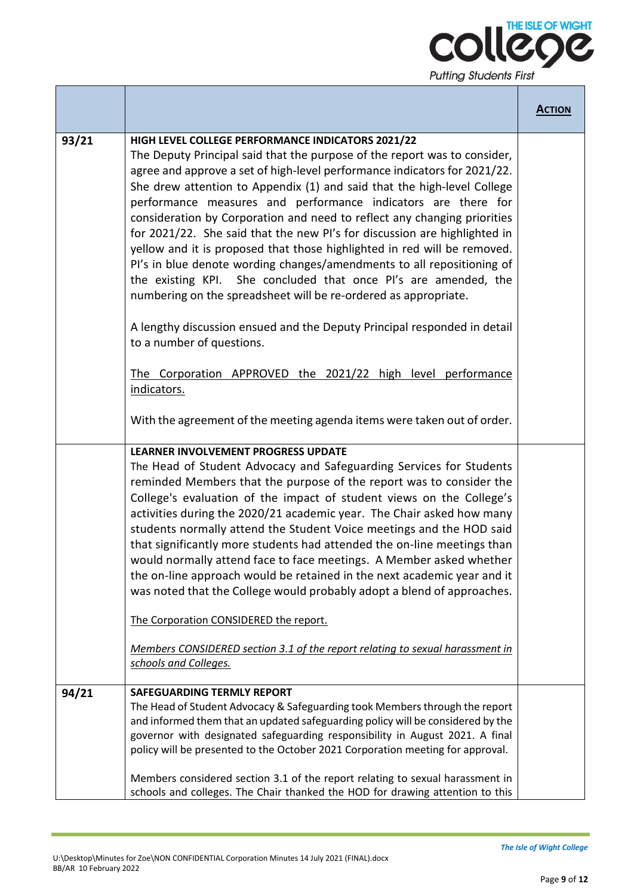

|       |                                                                                                                                                                                                                                                                                                                                                                                                                                                                                                                                                                                                                                                                                                                                                                                                                                                                              | <b>ACTION</b> |
|-------|------------------------------------------------------------------------------------------------------------------------------------------------------------------------------------------------------------------------------------------------------------------------------------------------------------------------------------------------------------------------------------------------------------------------------------------------------------------------------------------------------------------------------------------------------------------------------------------------------------------------------------------------------------------------------------------------------------------------------------------------------------------------------------------------------------------------------------------------------------------------------|---------------|
| 93/21 | HIGH LEVEL COLLEGE PERFORMANCE INDICATORS 2021/22<br>The Deputy Principal said that the purpose of the report was to consider,<br>agree and approve a set of high-level performance indicators for 2021/22.<br>She drew attention to Appendix (1) and said that the high-level College<br>performance measures and performance indicators are there for<br>consideration by Corporation and need to reflect any changing priorities<br>for 2021/22. She said that the new PI's for discussion are highlighted in<br>yellow and it is proposed that those highlighted in red will be removed.<br>PI's in blue denote wording changes/amendments to all repositioning of<br>the existing KPI. She concluded that once PI's are amended, the<br>numbering on the spreadsheet will be re-ordered as appropriate.                                                                 |               |
|       | A lengthy discussion ensued and the Deputy Principal responded in detail<br>to a number of questions.                                                                                                                                                                                                                                                                                                                                                                                                                                                                                                                                                                                                                                                                                                                                                                        |               |
|       | The Corporation APPROVED the 2021/22 high level performance<br>indicators.                                                                                                                                                                                                                                                                                                                                                                                                                                                                                                                                                                                                                                                                                                                                                                                                   |               |
|       | With the agreement of the meeting agenda items were taken out of order.                                                                                                                                                                                                                                                                                                                                                                                                                                                                                                                                                                                                                                                                                                                                                                                                      |               |
|       | <b>LEARNER INVOLVEMENT PROGRESS UPDATE</b><br>The Head of Student Advocacy and Safeguarding Services for Students<br>reminded Members that the purpose of the report was to consider the<br>College's evaluation of the impact of student views on the College's<br>activities during the 2020/21 academic year. The Chair asked how many<br>students normally attend the Student Voice meetings and the HOD said<br>that significantly more students had attended the on-line meetings than<br>would normally attend face to face meetings. A Member asked whether<br>the on-line approach would be retained in the next academic year and it<br>was noted that the College would probably adopt a blend of approaches.<br>The Corporation CONSIDERED the report.<br>Members CONSIDERED section 3.1 of the report relating to sexual harassment in<br>schools and Colleges. |               |
| 94/21 | <b>SAFEGUARDING TERMLY REPORT</b><br>The Head of Student Advocacy & Safeguarding took Members through the report<br>and informed them that an updated safeguarding policy will be considered by the<br>governor with designated safeguarding responsibility in August 2021. A final<br>policy will be presented to the October 2021 Corporation meeting for approval.<br>Members considered section 3.1 of the report relating to sexual harassment in<br>schools and colleges. The Chair thanked the HOD for drawing attention to this                                                                                                                                                                                                                                                                                                                                      |               |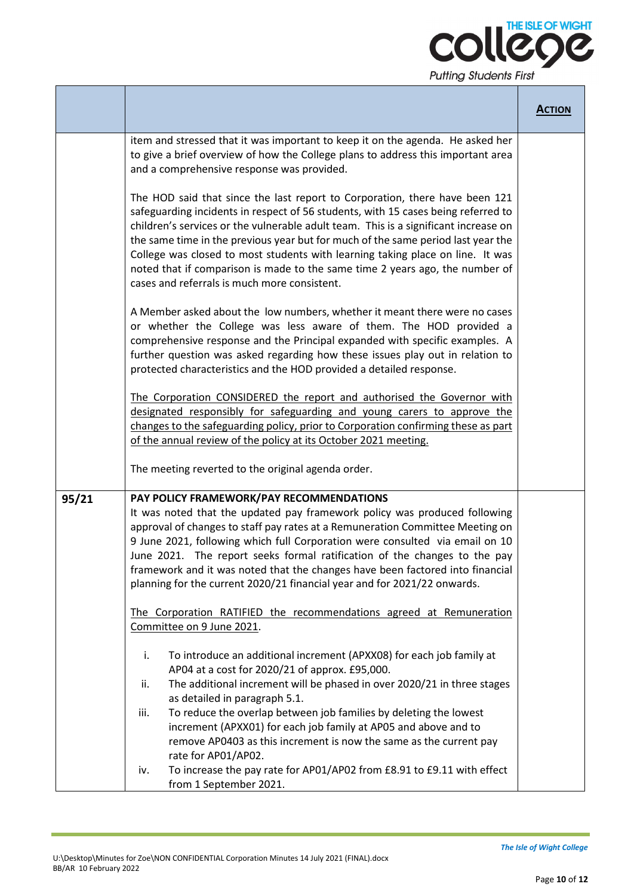

|       |                                                                                                                                                                                                                                                                                                                                                                                                                                                                                                                                                               | <b>ACTION</b> |
|-------|---------------------------------------------------------------------------------------------------------------------------------------------------------------------------------------------------------------------------------------------------------------------------------------------------------------------------------------------------------------------------------------------------------------------------------------------------------------------------------------------------------------------------------------------------------------|---------------|
|       | item and stressed that it was important to keep it on the agenda. He asked her<br>to give a brief overview of how the College plans to address this important area<br>and a comprehensive response was provided.                                                                                                                                                                                                                                                                                                                                              |               |
|       | The HOD said that since the last report to Corporation, there have been 121<br>safeguarding incidents in respect of 56 students, with 15 cases being referred to<br>children's services or the vulnerable adult team. This is a significant increase on<br>the same time in the previous year but for much of the same period last year the<br>College was closed to most students with learning taking place on line. It was<br>noted that if comparison is made to the same time 2 years ago, the number of<br>cases and referrals is much more consistent. |               |
|       | A Member asked about the low numbers, whether it meant there were no cases<br>or whether the College was less aware of them. The HOD provided a<br>comprehensive response and the Principal expanded with specific examples. A<br>further question was asked regarding how these issues play out in relation to<br>protected characteristics and the HOD provided a detailed response.                                                                                                                                                                        |               |
|       | The Corporation CONSIDERED the report and authorised the Governor with<br>designated responsibly for safeguarding and young carers to approve the<br>changes to the safeguarding policy, prior to Corporation confirming these as part<br>of the annual review of the policy at its October 2021 meeting.                                                                                                                                                                                                                                                     |               |
|       | The meeting reverted to the original agenda order.                                                                                                                                                                                                                                                                                                                                                                                                                                                                                                            |               |
| 95/21 | PAY POLICY FRAMEWORK/PAY RECOMMENDATIONS<br>It was noted that the updated pay framework policy was produced following<br>approval of changes to staff pay rates at a Remuneration Committee Meeting on<br>9 June 2021, following which full Corporation were consulted via email on 10<br>June 2021. The report seeks formal ratification of the changes to the pay<br>framework and it was noted that the changes have been factored into financial<br>planning for the current 2020/21 financial year and for 2021/22 onwards.                              |               |
|       | The Corporation RATIFIED the recommendations agreed at Remuneration<br>Committee on 9 June 2021.                                                                                                                                                                                                                                                                                                                                                                                                                                                              |               |
|       | To introduce an additional increment (APXX08) for each job family at<br>i.<br>AP04 at a cost for 2020/21 of approx. £95,000.<br>The additional increment will be phased in over 2020/21 in three stages<br>ii.<br>as detailed in paragraph 5.1.                                                                                                                                                                                                                                                                                                               |               |
|       | To reduce the overlap between job families by deleting the lowest<br>iii.<br>increment (APXX01) for each job family at AP05 and above and to<br>remove AP0403 as this increment is now the same as the current pay<br>rate for AP01/AP02.                                                                                                                                                                                                                                                                                                                     |               |
|       | To increase the pay rate for AP01/AP02 from £8.91 to £9.11 with effect<br>iv.<br>from 1 September 2021.                                                                                                                                                                                                                                                                                                                                                                                                                                                       |               |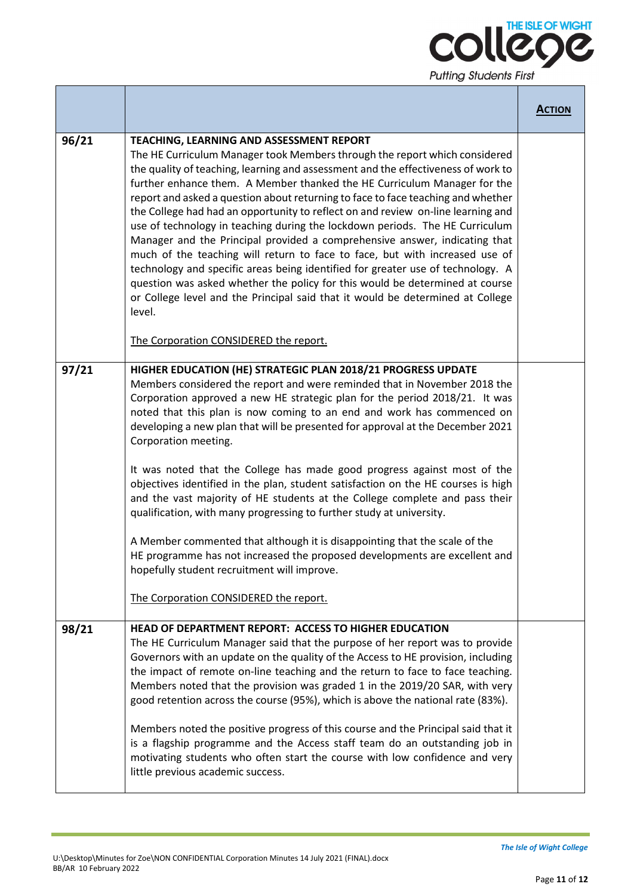

|       |                                                                                                                                                                                                                                                                                                                                                                                                                                                                                                                                                                                                                                                                                                                                                                                                                                                                                                                                                                                                                       | <b>ACTION</b> |
|-------|-----------------------------------------------------------------------------------------------------------------------------------------------------------------------------------------------------------------------------------------------------------------------------------------------------------------------------------------------------------------------------------------------------------------------------------------------------------------------------------------------------------------------------------------------------------------------------------------------------------------------------------------------------------------------------------------------------------------------------------------------------------------------------------------------------------------------------------------------------------------------------------------------------------------------------------------------------------------------------------------------------------------------|---------------|
| 96/21 | TEACHING, LEARNING AND ASSESSMENT REPORT<br>The HE Curriculum Manager took Members through the report which considered<br>the quality of teaching, learning and assessment and the effectiveness of work to<br>further enhance them. A Member thanked the HE Curriculum Manager for the<br>report and asked a question about returning to face to face teaching and whether<br>the College had had an opportunity to reflect on and review on-line learning and<br>use of technology in teaching during the lockdown periods. The HE Curriculum<br>Manager and the Principal provided a comprehensive answer, indicating that<br>much of the teaching will return to face to face, but with increased use of<br>technology and specific areas being identified for greater use of technology. A<br>question was asked whether the policy for this would be determined at course<br>or College level and the Principal said that it would be determined at College<br>level.<br>The Corporation CONSIDERED the report. |               |
| 97/21 | HIGHER EDUCATION (HE) STRATEGIC PLAN 2018/21 PROGRESS UPDATE<br>Members considered the report and were reminded that in November 2018 the<br>Corporation approved a new HE strategic plan for the period 2018/21. It was<br>noted that this plan is now coming to an end and work has commenced on<br>developing a new plan that will be presented for approval at the December 2021<br>Corporation meeting.<br>It was noted that the College has made good progress against most of the<br>objectives identified in the plan, student satisfaction on the HE courses is high<br>and the vast majority of HE students at the College complete and pass their<br>qualification, with many progressing to further study at university.<br>A Member commented that although it is disappointing that the scale of the<br>HE programme has not increased the proposed developments are excellent and<br>hopefully student recruitment will improve.<br>The Corporation CONSIDERED the report.                             |               |
| 98/21 | HEAD OF DEPARTMENT REPORT: ACCESS TO HIGHER EDUCATION<br>The HE Curriculum Manager said that the purpose of her report was to provide<br>Governors with an update on the quality of the Access to HE provision, including<br>the impact of remote on-line teaching and the return to face to face teaching.<br>Members noted that the provision was graded 1 in the 2019/20 SAR, with very<br>good retention across the course (95%), which is above the national rate (83%).<br>Members noted the positive progress of this course and the Principal said that it<br>is a flagship programme and the Access staff team do an outstanding job in<br>motivating students who often start the course with low confidence and very<br>little previous academic success.                                                                                                                                                                                                                                                  |               |